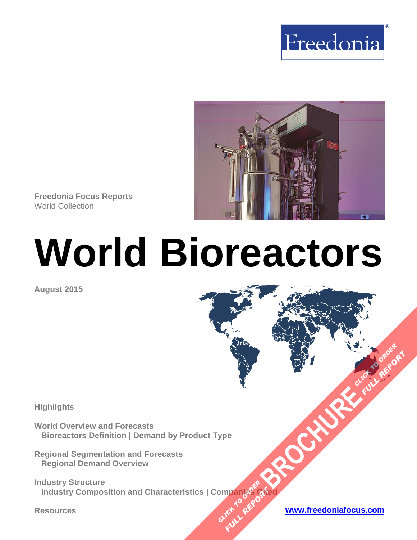



**Freedonia Focus Reports** World Collection

# **World Bioreactors**

**August 2015**

#### **Highlights**

**World Overview and Forecasts Bioreactors Definition | Demand by Product Type**

**Regional Segmentation and Forecasts Regional Demand Overview**

**Industry Structure Industry Composition and Characteristics | Companies Cited [BROCHURE](http://www.freedoniagroup.com/FocusDetails.aspx?ReferrerId=FM-FocusBro&ReportID=FW40064) CLICK TO PROPER OMPandeReport Planding Print** 

**FULL REPORT**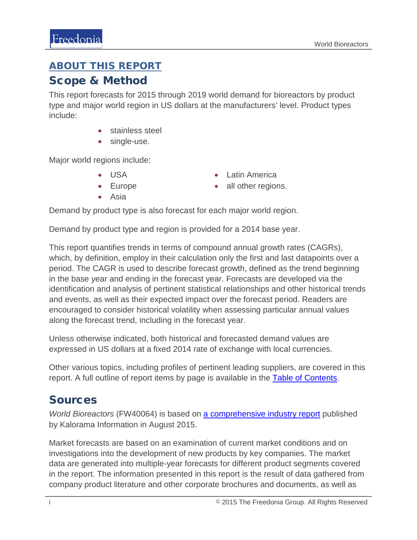## <span id="page-1-0"></span>ABOUT THIS REPORT

## Scope & Method

This report forecasts for 2015 through 2019 world demand for bioreactors by product type and major world region in US dollars at the manufacturers' level. Product types include:

- stainless steel
- single-use.

Major world regions include:

- USA
- Europe

• Latin America • all other regions.

• Asia

Demand by product type is also forecast for each major world region.

Demand by product type and region is provided for a 2014 base year.

This report quantifies trends in terms of compound annual growth rates (CAGRs), which, by definition, employ in their calculation only the first and last datapoints over a period. The CAGR is used to describe forecast growth, defined as the trend beginning in the base year and ending in the forecast year. Forecasts are developed via the identification and analysis of pertinent statistical relationships and other historical trends and events, as well as their expected impact over the forecast period. Readers are encouraged to consider historical volatility when assessing particular annual values along the forecast trend, including in the forecast year.

Unless otherwise indicated, both historical and forecasted demand values are expressed in US dollars at a fixed 2014 rate of exchange with local currencies.

Other various topics, including profiles of pertinent leading suppliers, are covered in this report. A full outline of report items by page is available in the [Table of Contents.](#page-3-0)

# Sources

*World Bioreactors* (FW40064) is based on [a comprehensive industry report](http://www.kaloramainformation.com/Worldwide-Bioreactors-9258385/) published by Kalorama Information in August 2015.

Market forecasts are based on an examination of current market conditions and on investigations into the development of new products by key companies. The market data are generated into multiple-year forecasts for different product segments covered in the report. The information presented in this report is the result of data gathered from company product literature and other corporate brochures and documents, as well as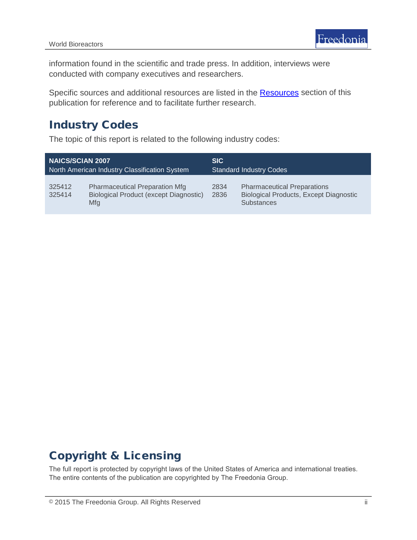information found in the scientific and trade press. In addition, interviews were conducted with company executives and researchers.

Specific sources and additional resources are listed in the **Resources** section of this publication for reference and to facilitate further research.

## Industry Codes

The topic of this report is related to the following industry codes:

| <b>NAICS/SCIAN 2007</b>                       |                                                                                               | <b>SIC</b>                     |                                                                                                          |
|-----------------------------------------------|-----------------------------------------------------------------------------------------------|--------------------------------|----------------------------------------------------------------------------------------------------------|
| North American Industry Classification System |                                                                                               | <b>Standard Industry Codes</b> |                                                                                                          |
| 325412<br>325414                              | <b>Pharmaceutical Preparation Mfg</b><br>Biological Product (except Diagnostic)<br><b>Mfg</b> | 2834<br>2836                   | <b>Pharmaceutical Preparations</b><br><b>Biological Products, Except Diagnostic</b><br><b>Substances</b> |

# Copyright & Licensing

The full report is protected by copyright laws of the United States of America and international treaties. The entire contents of the publication are copyrighted by The Freedonia Group.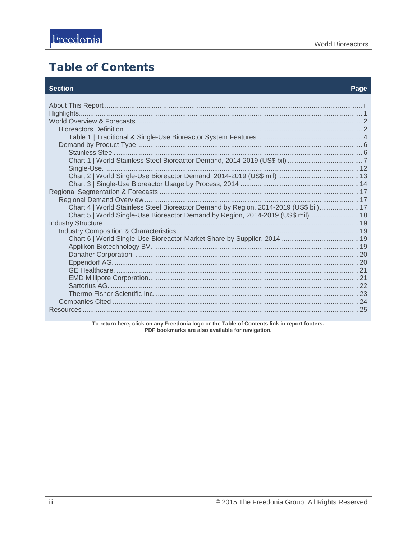# <span id="page-3-0"></span>**Table of Contents**

#### **Section**

#### Page

| Chart 4   World Stainless Steel Bioreactor Demand by Region, 2014-2019 (US\$ bil) 17 |  |
|--------------------------------------------------------------------------------------|--|
| Chart 5   World Single-Use Bioreactor Demand by Region, 2014-2019 (US\$ mil)  18     |  |
|                                                                                      |  |
|                                                                                      |  |
|                                                                                      |  |
|                                                                                      |  |
|                                                                                      |  |
|                                                                                      |  |
|                                                                                      |  |
|                                                                                      |  |
|                                                                                      |  |
|                                                                                      |  |
|                                                                                      |  |
|                                                                                      |  |

To return here, click on any Freedonia logo or the Table of Contents link in report footers.<br>PDF bookmarks are also available for navigation.